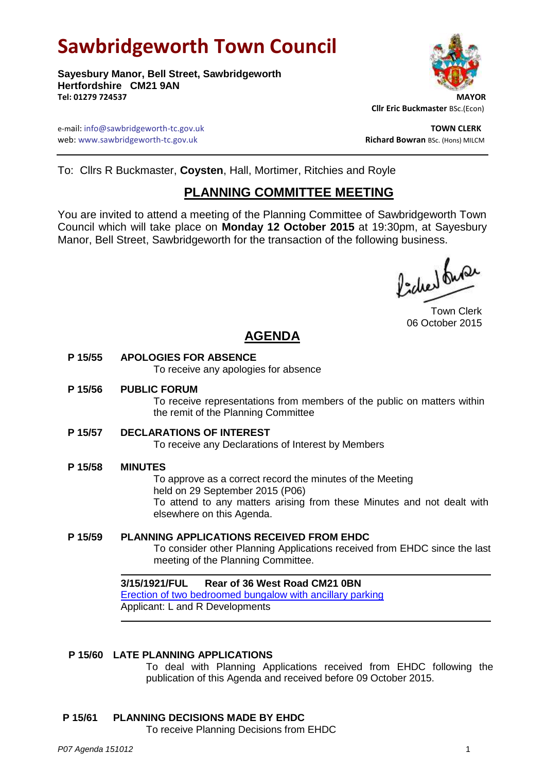# **Sawbridgeworth Town Council**

**Sayesbury Manor, Bell Street, Sawbridgeworth Hertfordshire CM21 9AN Tel: 01279 724537 MAYOR**



 **Cllr Eric Buckmaster** BSc.(Econ)

e-mail: info@sawbridgeworth-tc.gov.uk **TOWN CLERK** web: www.sawbridgeworth-tc.gov.uk and the state of the state of the state of the state of the state of the state of the state of the state of the state of the state of the state of the state of the state of the state of th

To: Cllrs R Buckmaster, **Coysten**, Hall, Mortimer, Ritchies and Royle

# **PLANNING COMMITTEE MEETING**

You are invited to attend a meeting of the Planning Committee of Sawbridgeworth Town Council which will take place on **Monday 12 October 2015** at 19:30pm, at Sayesbury Manor, Bell Street, Sawbridgeworth for the transaction of the following business.

fided fune

Town Clerk 06 October 2015

# **AGENDA**

### **P 15/55 APOLOGIES FOR ABSENCE**

To receive any apologies for absence

#### **P 15/56 PUBLIC FORUM**

To receive representations from members of the public on matters within the remit of the Planning Committee

### **P 15/57 DECLARATIONS OF INTEREST**

To receive any Declarations of Interest by Members

#### **P 15/58 MINUTES**

To approve as a correct record the minutes of the Meeting held on 29 September 2015 (P06) To attend to any matters arising from these Minutes and not dealt with elsewhere on this Agenda.

#### **P 15/59 PLANNING APPLICATIONS RECEIVED FROM EHDC** To consider other Planning Applications received from EHDC since the last

meeting of the Planning Committee.

# **3/15/1921/FUL Rear of 36 West Road CM21 0BN** [Erection of two bedroomed bungalow with ancillary parking](https://publicaccess.eastherts.gov.uk/online-applications/applicationDetails.do?activeTab=summary&keyVal=NV0U16GL00X00)

Applicant: L and R Developments

### **P 15/60 LATE PLANNING APPLICATIONS**

To deal with Planning Applications received from EHDC following the publication of this Agenda and received before 09 October 2015.

### **P 15/61 PLANNING DECISIONS MADE BY EHDC**

To receive Planning Decisions from EHDC